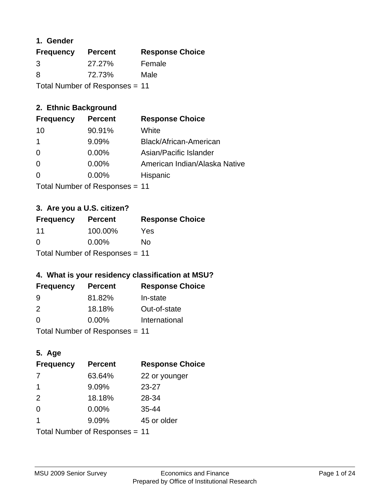#### **1. Gender**

| <b>Frequency</b> | <b>Percent</b>                 | <b>Response Choice</b> |
|------------------|--------------------------------|------------------------|
| 3                | 27.27%                         | Female                 |
| 8                | 72.73%                         | Male                   |
|                  | Total Number of Responses = 11 |                        |

## **2. Ethnic Background**

| <b>Frequency</b> | <b>Percent</b> | <b>Response Choice</b>        |
|------------------|----------------|-------------------------------|
| 10               | 90.91%         | White                         |
|                  | 9.09%          | Black/African-American        |
| $\Omega$         | 0.00%          | Asian/Pacific Islander        |
| $\Omega$         | 0.00%          | American Indian/Alaska Native |
| $\Omega$         | 0.00%          | Hispanic                      |
|                  |                |                               |

Total Number of Responses = 11

## **3. Are you a U.S. citizen?**

| <b>Frequency</b>               | <b>Percent</b> | <b>Response Choice</b> |
|--------------------------------|----------------|------------------------|
| 11                             | 100.00%        | Yes                    |
| $\Omega$                       | $0.00\%$       | No                     |
| Total Number of Responses = 11 |                |                        |

## **4. What is your residency classification at MSU?**

| <b>Frequency</b> | <b>Percent</b> | <b>Response Choice</b> |
|------------------|----------------|------------------------|
| -9               | 81.82%         | In-state               |
| $\mathcal{P}$    | 18.18%         | Out-of-state           |
| $\Omega$         | $0.00\%$       | International          |
|                  |                |                        |

Total Number of Responses = 11

## **5. Age**

| <b>Frequency</b>               | <b>Percent</b> | <b>Response Choice</b> |
|--------------------------------|----------------|------------------------|
| 7                              | 63.64%         | 22 or younger          |
| -1                             | 9.09%          | $23 - 27$              |
| 2                              | 18.18%         | 28-34                  |
| $\Omega$                       | $0.00\%$       | $35 - 44$              |
| 1                              | 9.09%          | 45 or older            |
| Total Number of Responses = 11 |                |                        |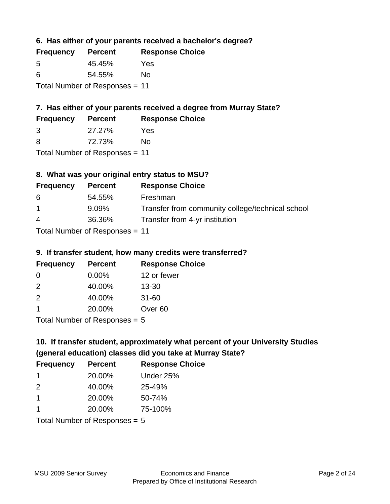**6. Has either of your parents received a bachelor's degree?**

| <b>Frequency</b>               | <b>Percent</b> | <b>Response Choice</b> |
|--------------------------------|----------------|------------------------|
| .5                             | 45.45%         | Yes                    |
| 6                              | 54.55%         | No                     |
| Total Number of Responses = 11 |                |                        |

## **7. Has either of your parents received a degree from Murray State?**

| <b>Frequency</b> | <b>Percent</b> | <b>Response Choice</b> |
|------------------|----------------|------------------------|
| -3               | 27.27%         | Yes                    |
| -8               | 72.73%         | No                     |

Total Number of Responses = 11

## **8. What was your original entry status to MSU?**

| <b>Frequency</b> | <b>Percent</b>            | <b>Response Choice</b>                           |
|------------------|---------------------------|--------------------------------------------------|
| -6               | 54.55%                    | Freshman                                         |
| $\overline{1}$   | $9.09\%$                  | Transfer from community college/technical school |
| $\overline{4}$   | 36.36%                    | Transfer from 4-yr institution                   |
|                  | Total Number of Despenses |                                                  |

Total Number of Responses = 11

#### **9. If transfer student, how many credits were transferred?**

| <b>Frequency</b> | <b>Percent</b>              | <b>Response Choice</b> |
|------------------|-----------------------------|------------------------|
| 0                | $0.00\%$                    | 12 or fewer            |
| $\mathcal{P}$    | 40.00%                      | $13 - 30$              |
| $\mathcal{P}$    | 40.00%                      | $31 - 60$              |
|                  | 20.00%                      | Over <sub>60</sub>     |
|                  | Total Number of Desponses E |                        |

Total Number of Responses = 5

## **10. If transfer student, approximately what percent of your University Studies (general education) classes did you take at Murray State?**

| <b>Frequency</b>                | <b>Percent</b> | <b>Response Choice</b> |
|---------------------------------|----------------|------------------------|
| -1                              | 20.00%         | Under 25%              |
| $\mathcal{P}$                   | 40.00%         | 25-49%                 |
| $\overline{1}$                  | 20.00%         | 50-74%                 |
| 1                               | 20.00%         | 75-100%                |
| Total Number of Responses $= 5$ |                |                        |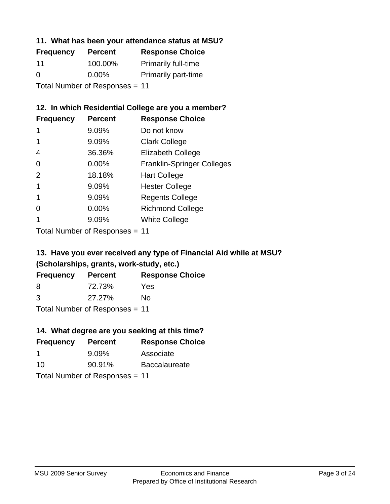#### **11. What has been your attendance status at MSU?**

| <b>Frequency</b> | <b>Percent</b>                 | <b>Response Choice</b>     |
|------------------|--------------------------------|----------------------------|
| 11               | 100.00%                        | <b>Primarily full-time</b> |
| $\Omega$         | $0.00\%$                       | <b>Primarily part-time</b> |
|                  | Total Number of Responses = 11 |                            |

### **12. In which Residential College are you a member?**

| <b>Frequency</b> | <b>Percent</b> | <b>Response Choice</b>            |
|------------------|----------------|-----------------------------------|
| 1                | 9.09%          | Do not know                       |
|                  | 9.09%          | <b>Clark College</b>              |
| 4                | 36.36%         | <b>Elizabeth College</b>          |
| 0                | 0.00%          | <b>Franklin-Springer Colleges</b> |
| 2                | 18.18%         | <b>Hart College</b>               |
| 1                | 9.09%          | <b>Hester College</b>             |
|                  | 9.09%          | <b>Regents College</b>            |
| ∩                | 0.00%          | <b>Richmond College</b>           |
|                  | 9.09%          | <b>White College</b>              |
|                  |                |                                   |

Total Number of Responses = 11

## **13. Have you ever received any type of Financial Aid while at MSU? (Scholarships, grants, work-study, etc.)**

| <b>Frequency</b> | <b>Percent</b>             | <b>Response Choice</b> |
|------------------|----------------------------|------------------------|
| 8                | 72.73%                     | Yes                    |
| 3                | 27.27%                     | Nο                     |
|                  | Total Number of Deepersoon |                        |

Total Number of Responses = 11

## **14. What degree are you seeking at this time?**

| <b>Frequency</b> | <b>Percent</b>                 | <b>Response Choice</b> |
|------------------|--------------------------------|------------------------|
| -1               | $9.09\%$                       | Associate              |
| 10               | 90.91%                         | <b>Baccalaureate</b>   |
|                  | Total Number of Responses = 11 |                        |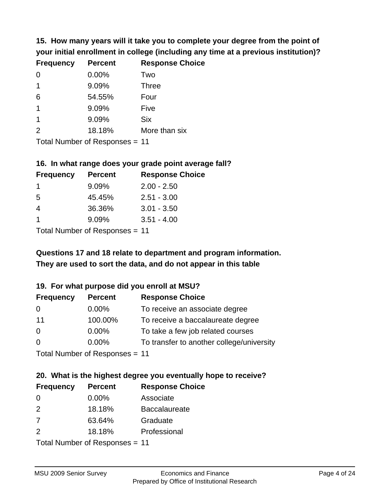**15. How many years will it take you to complete your degree from the point of your initial enrollment in college (including any time at a previous institution)?**

| <b>Frequency</b> | <b>Percent</b> | <b>Response Choice</b> |
|------------------|----------------|------------------------|
| $\Omega$         | 0.00%          | Two                    |
| 1                | 9.09%          | <b>Three</b>           |
| 6                | 54.55%         | Four                   |
| $\overline{1}$   | 9.09%          | Five                   |
| $\mathbf 1$      | 9.09%          | <b>Six</b>             |
| 2                | 18.18%         | More than six          |
|                  |                |                        |

Total Number of Responses = 11

#### **16. In what range does your grade point average fall?**

| <b>Frequency</b> | <b>Percent</b> | <b>Response Choice</b> |
|------------------|----------------|------------------------|
|                  | 9.09%          | $2.00 - 2.50$          |
| -5               | 45.45%         | $2.51 - 3.00$          |
| 4                | 36.36%         | $3.01 - 3.50$          |
| 1                | 9.09%          | $3.51 - 4.00$          |
|                  |                |                        |

Total Number of Responses = 11

## **They are used to sort the data, and do not appear in this table Questions 17 and 18 relate to department and program information.**

#### **19. For what purpose did you enroll at MSU?**

| <b>Frequency</b> | <b>Percent</b>                 | <b>Response Choice</b>                    |
|------------------|--------------------------------|-------------------------------------------|
| 0                | $0.00\%$                       | To receive an associate degree            |
| 11               | 100.00%                        | To receive a baccalaureate degree         |
| 0                | $0.00\%$                       | To take a few job related courses         |
| $\Omega$         | 0.00%                          | To transfer to another college/university |
|                  | Total Number of Reconnege - 11 |                                           |

Total Number of Responses = 11

# **20. What is the highest degree you eventually hope to receive?**

| <b>Frequency</b> | <b>Percent</b>             | <b>Response Choice</b> |
|------------------|----------------------------|------------------------|
| 0                | 0.00%                      | Associate              |
| 2                | 18.18%                     | <b>Baccalaureate</b>   |
| 7                | 63.64%                     | Graduate               |
| 2                | 18.18%                     | Professional           |
|                  | Total Number of Deepersoon |                        |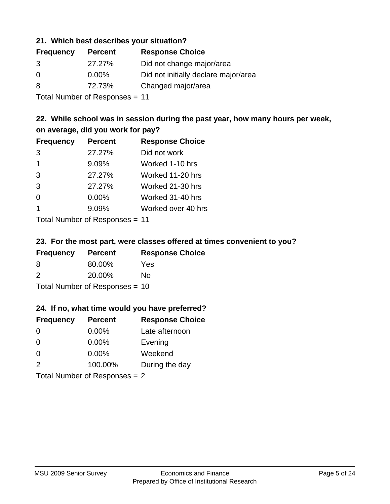#### **21. Which best describes your situation?**

| <b>Frequency</b> | <b>Percent</b> | <b>Response Choice</b>               |
|------------------|----------------|--------------------------------------|
| 3                | 27.27%         | Did not change major/area            |
| $\Omega$         | $0.00\%$       | Did not initially declare major/area |
| 8                | 72.73%         | Changed major/area                   |
|                  |                |                                      |

Total Number of Responses = 11

### **22. While school was in session during the past year, how many hours per week, on average, did you work for pay?**

| <b>Frequency</b> | <b>Percent</b> | <b>Response Choice</b> |
|------------------|----------------|------------------------|
| 3                | 27.27%         | Did not work           |
| $\mathbf 1$      | 9.09%          | Worked 1-10 hrs        |
| 3                | 27.27%         | Worked 11-20 hrs       |
| 3                | 27.27%         | Worked 21-30 hrs       |
| $\Omega$         | 0.00%          | Worked 31-40 hrs       |
| -1               | 9.09%          | Worked over 40 hrs     |
|                  |                |                        |

Total Number of Responses = 11

#### **23. For the most part, were classes offered at times convenient to you?**

| <b>Frequency</b>               | <b>Percent</b> | <b>Response Choice</b> |
|--------------------------------|----------------|------------------------|
| 8                              | 80.00%         | Yes                    |
| $\mathcal{P}$                  | 20.00%         | Nο                     |
| Total Number of Responses = 10 |                |                        |

#### **24. If no, what time would you have preferred?**

| <b>Frequency</b> | <b>Percent</b>                  | <b>Response Choice</b> |
|------------------|---------------------------------|------------------------|
| $\Omega$         | $0.00\%$                        | Late afternoon         |
| $\Omega$         | 0.00%                           | Evening                |
| $\Omega$         | $0.00\%$                        | Weekend                |
| $\mathcal{P}$    | 100.00%                         | During the day         |
|                  | Total Number of Responses $= 2$ |                        |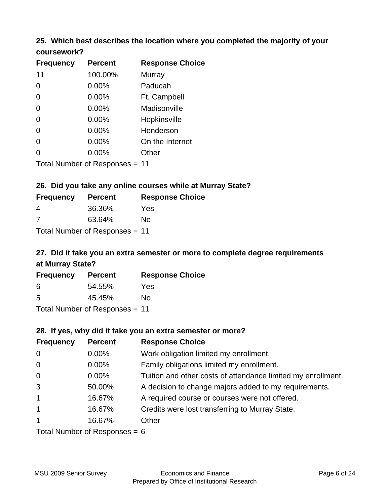# **25. Which best describes the location where you completed the majority of your**

| coursework? |  |
|-------------|--|
|-------------|--|

| <b>Frequency</b> | <b>Percent</b>                 | <b>Response Choice</b> |
|------------------|--------------------------------|------------------------|
| 11               | 100.00%                        | Murray                 |
| 0                | 0.00%                          | Paducah                |
| 0                | 0.00%                          | Ft. Campbell           |
| 0                | 0.00%                          | Madisonville           |
| 0                | 0.00%                          | Hopkinsville           |
| 0                | $0.00\%$                       | Henderson              |
| 0                | 0.00%                          | On the Internet        |
| 0                | 0.00%                          | Other                  |
|                  | Total Number of Responses = 11 |                        |

#### **26. Did you take any online courses while at Murray State?**

| <b>Frequency</b>               | <b>Percent</b> | <b>Response Choice</b> |  |  |
|--------------------------------|----------------|------------------------|--|--|
| 4                              | 36.36%         | Yes                    |  |  |
| -7                             | 63.64%         | No.                    |  |  |
| Total Number of Responses = 11 |                |                        |  |  |

## **27. Did it take you an extra semester or more to complete degree requirements at Murray State?**

| <b>Frequency</b>               | <b>Percent</b> | <b>Response Choice</b> |  |
|--------------------------------|----------------|------------------------|--|
| 6                              | 54.55%         | Yes                    |  |
| .5                             | 45.45%         | No                     |  |
| Total Number of Responses = 11 |                |                        |  |

#### **28. If yes, why did it take you an extra semester or more?**

| <b>Frequency</b>                | <b>Percent</b> | <b>Response Choice</b>                                       |  |
|---------------------------------|----------------|--------------------------------------------------------------|--|
| $\mathbf 0$                     | 0.00%          | Work obligation limited my enrollment.                       |  |
| $\mathbf 0$                     | $0.00\%$       | Family obligations limited my enrollment.                    |  |
| $\mathbf 0$                     | $0.00\%$       | Tuition and other costs of attendance limited my enrollment. |  |
| 3                               | 50.00%         | A decision to change majors added to my requirements.        |  |
| $\overline{1}$                  | 16.67%         | A required course or courses were not offered.               |  |
| $\mathbf{1}$                    | 16.67%         | Credits were lost transferring to Murray State.              |  |
| $\mathbf{1}$                    | 16.67%         | Other                                                        |  |
| Total Number of Responses = $6$ |                |                                                              |  |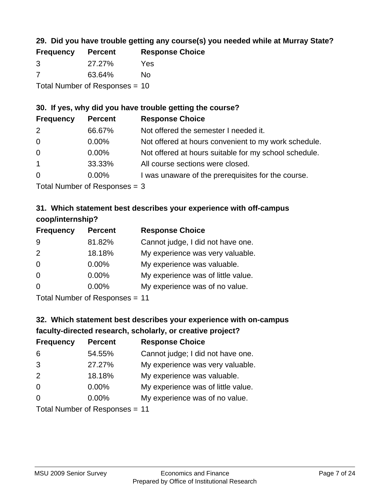## **29. Did you have trouble getting any course(s) you needed while at Murray State?**

| <b>Frequency</b>               | <b>Percent</b> | <b>Response Choice</b> |  |
|--------------------------------|----------------|------------------------|--|
| -3                             | 27.27%         | Yes                    |  |
| -7                             | 63.64%         | Nο                     |  |
| Total Number of Responses = 10 |                |                        |  |

#### **30. If yes, why did you have trouble getting the course?**

| <b>Frequency</b> | <b>Percent</b> | <b>Response Choice</b>                                |
|------------------|----------------|-------------------------------------------------------|
| 2                | 66.67%         | Not offered the semester I needed it.                 |
| $\overline{0}$   | $0.00\%$       | Not offered at hours convenient to my work schedule.  |
| $\overline{0}$   | $0.00\%$       | Not offered at hours suitable for my school schedule. |
| $\overline{1}$   | 33.33%         | All course sections were closed.                      |
| $\overline{0}$   | $0.00\%$       | I was unaware of the prerequisites for the course.    |
|                  |                |                                                       |

Total Number of Responses = 3

## **31. Which statement best describes your experience with off-campus coop/internship?**

| <b>Frequency</b> | <b>Percent</b>                                                | <b>Response Choice</b>             |
|------------------|---------------------------------------------------------------|------------------------------------|
| 9                | 81.82%                                                        | Cannot judge, I did not have one.  |
| 2                | 18.18%                                                        | My experience was very valuable.   |
| $\Omega$         | $0.00\%$                                                      | My experience was valuable.        |
| $\Omega$         | $0.00\%$                                                      | My experience was of little value. |
| $\Omega$         | $0.00\%$                                                      | My experience was of no value.     |
|                  | $\tau$ and $\tau$ and $\tau$ and $\tau$ and $\tau$ and $\tau$ |                                    |

Total Number of Responses = 11

## **32. Which statement best describes your experience with on-campus faculty-directed research, scholarly, or creative project?**

| <b>Frequency</b> | <b>Percent</b>             | <b>Response Choice</b>             |
|------------------|----------------------------|------------------------------------|
| 6                | 54.55%                     | Cannot judge; I did not have one.  |
| 3                | 27.27%                     | My experience was very valuable.   |
| 2                | 18.18%                     | My experience was valuable.        |
| $\overline{0}$   | 0.00%                      | My experience was of little value. |
| $\Omega$         | 0.00%                      | My experience was of no value.     |
|                  | Tatal Number of Desperance |                                    |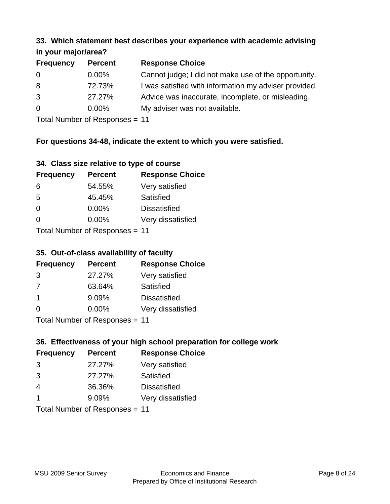#### **33. Which statement best describes your experience with academic advising in your major/area?**

| $\cdots$ your mapping out |                |                                                       |
|---------------------------|----------------|-------------------------------------------------------|
| <b>Frequency</b>          | <b>Percent</b> | <b>Response Choice</b>                                |
| 0                         | $0.00\%$       | Cannot judge; I did not make use of the opportunity.  |
| 8                         | 72.73%         | I was satisfied with information my adviser provided. |
| 3                         | 27.27%         | Advice was inaccurate, incomplete, or misleading.     |
| $\overline{0}$            | $0.00\%$       | My adviser was not available.                         |
|                           |                |                                                       |

Total Number of Responses = 11

### **For questions 34-48, indicate the extent to which you were satisfied.**

| 34. Class size relative to type of course |  |  |  |  |  |  |  |  |
|-------------------------------------------|--|--|--|--|--|--|--|--|
|-------------------------------------------|--|--|--|--|--|--|--|--|

| <b>Frequency</b>               | <b>Percent</b> | <b>Response Choice</b> |  |  |
|--------------------------------|----------------|------------------------|--|--|
| 6                              | 54.55%         | Very satisfied         |  |  |
| 5                              | 45.45%         | Satisfied              |  |  |
| $\Omega$                       | $0.00\%$       | <b>Dissatisfied</b>    |  |  |
| $\Omega$                       | $0.00\%$       | Very dissatisfied      |  |  |
| Total Number of Responses - 11 |                |                        |  |  |

Total Number of Responses = 11

#### **35. Out-of-class availability of faculty**

| <b>Frequency</b> | <b>Percent</b>            | <b>Response Choice</b> |
|------------------|---------------------------|------------------------|
| 3                | 27.27%                    | Very satisfied         |
| 7                | 63.64%                    | Satisfied              |
| -1               | 9.09%                     | <b>Dissatisfied</b>    |
| $\Omega$         | 0.00%                     | Very dissatisfied      |
|                  | Total Number of Deepersee |                        |

Total Number of Responses = 11

## **36. Effectiveness of your high school preparation for college work**

| <b>Frequency</b>               | <b>Percent</b> | <b>Response Choice</b> |  |  |
|--------------------------------|----------------|------------------------|--|--|
| 3                              | 27.27%         | Very satisfied         |  |  |
| 3                              | 27.27%         | Satisfied              |  |  |
| 4                              | 36.36%         | <b>Dissatisfied</b>    |  |  |
| $\mathbf 1$                    | 9.09%          | Very dissatisfied      |  |  |
| Total Number of Responses - 11 |                |                        |  |  |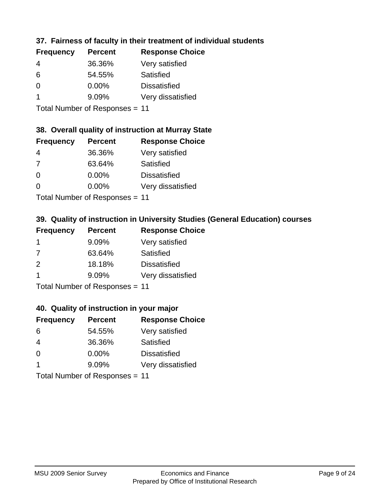## **37. Fairness of faculty in their treatment of individual students**

| <b>Frequency</b> | <b>Percent</b> | <b>Response Choice</b> |
|------------------|----------------|------------------------|
| 4                | 36.36%         | Very satisfied         |
| 6                | 54.55%         | Satisfied              |
| $\Omega$         | $0.00\%$       | <b>Dissatisfied</b>    |
|                  | 9.09%          | Very dissatisfied      |
|                  |                |                        |

Total Number of Responses = 11

#### **38. Overall quality of instruction at Murray State**

| <b>Frequency</b> | <b>Percent</b> | <b>Response Choice</b> |
|------------------|----------------|------------------------|
| 4                | 36.36%         | Very satisfied         |
| 7                | 63.64%         | Satisfied              |
| $\Omega$         | 0.00%          | <b>Dissatisfied</b>    |
| ∩                | 0.00%          | Very dissatisfied      |
|                  |                |                        |

Total Number of Responses = 11

## **39. Quality of instruction in University Studies (General Education) courses**

| <b>Frequency</b> | <b>Percent</b>             | <b>Response Choice</b> |
|------------------|----------------------------|------------------------|
|                  | 9.09%                      | Very satisfied         |
| 7                | 63.64%                     | Satisfied              |
| 2                | 18.18%                     | <b>Dissatisfied</b>    |
|                  | 9.09%                      | Very dissatisfied      |
|                  | Tatal Manakan af Dagmanage |                        |

Total Number of Responses = 11

#### **40. Quality of instruction in your major**

| <b>Frequency</b> | <b>Percent</b>                                                     | <b>Response Choice</b> |
|------------------|--------------------------------------------------------------------|------------------------|
| 6                | 54.55%                                                             | Very satisfied         |
| 4                | 36.36%                                                             | Satisfied              |
| $\Omega$         | 0.00%                                                              | <b>Dissatisfied</b>    |
|                  | 9.09%                                                              | Very dissatisfied      |
|                  | $T$ at all Masseds and $R$ $\sim$ and $\sim$ and $\sim$ and $\sim$ |                        |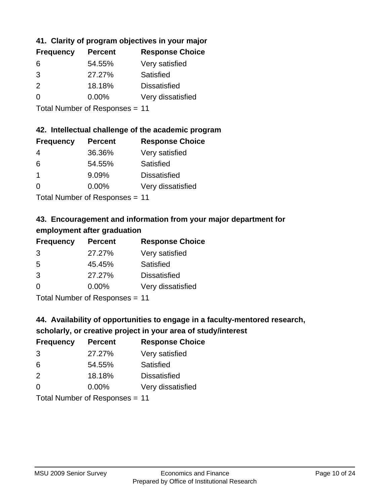## **41. Clarity of program objectives in your major**

| <b>Frequency</b> | <b>Percent</b> | <b>Response Choice</b> |
|------------------|----------------|------------------------|
| 6                | 54.55%         | Very satisfied         |
| 3                | 27.27%         | Satisfied              |
| $\mathcal{P}$    | 18.18%         | <b>Dissatisfied</b>    |
| $\Omega$         | $0.00\%$       | Very dissatisfied      |
|                  |                |                        |

Total Number of Responses = 11

#### **42. Intellectual challenge of the academic program**

| <b>Frequency</b> | <b>Percent</b> | <b>Response Choice</b> |
|------------------|----------------|------------------------|
| 4                | 36.36%         | Very satisfied         |
| 6                | 54.55%         | Satisfied              |
|                  | 9.09%          | <b>Dissatisfied</b>    |
| $\Omega$         | 0.00%          | Very dissatisfied      |
|                  |                |                        |

Total Number of Responses = 11

## **43. Encouragement and information from your major department for employment after graduation**

| <b>Frequency</b> | <b>Percent</b>                         | <b>Response Choice</b> |
|------------------|----------------------------------------|------------------------|
| 3                | 27.27%                                 | Very satisfied         |
| 5                | 45.45%                                 | Satisfied              |
| 3                | 27.27%                                 | <b>Dissatisfied</b>    |
| $\Omega$         | $0.00\%$                               | Very dissatisfied      |
|                  | $\mathbf{r}$ . The set of $\mathbf{r}$ |                        |

Total Number of Responses = 11

## **44. Availability of opportunities to engage in a faculty-mentored research,**

## **scholarly, or creative project in your area of study/interest**

| <b>Frequency</b> | <b>Percent</b>                        | <b>Response Choice</b> |
|------------------|---------------------------------------|------------------------|
| 3                | 27.27%                                | Very satisfied         |
| 6                | 54.55%                                | Satisfied              |
| 2                | 18.18%                                | <b>Dissatisfied</b>    |
| $\Omega$         | 0.00%                                 | Very dissatisfied      |
|                  | The HI district of Production and the |                        |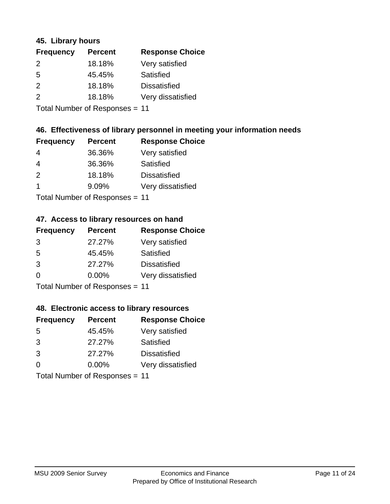#### **45. Library hours**

| <b>Frequency</b> | <b>Percent</b> | <b>Response Choice</b> |
|------------------|----------------|------------------------|
| 2                | 18.18%         | Very satisfied         |
| 5                | 45.45%         | Satisfied              |
| $\mathcal{P}$    | 18.18%         | <b>Dissatisfied</b>    |
| $\mathcal{P}$    | 18.18%         | Very dissatisfied      |
|                  |                |                        |

Total Number of Responses = 11

### **46. Effectiveness of library personnel in meeting your information needs**

| <b>Frequency</b> | <b>Percent</b> | <b>Response Choice</b> |
|------------------|----------------|------------------------|
| 4                | 36.36%         | Very satisfied         |
| 4                | 36.36%         | Satisfied              |
| $\mathcal{P}$    | 18.18%         | <b>Dissatisfied</b>    |
|                  | 9.09%          | Very dissatisfied      |
|                  |                |                        |

Total Number of Responses = 11

### **47. Access to library resources on hand**

| <b>Frequency</b> | <b>Percent</b>               | <b>Response Choice</b> |
|------------------|------------------------------|------------------------|
| 3                | 27.27%                       | Very satisfied         |
| 5                | 45.45%                       | Satisfied              |
| 3                | 27.27%                       | <b>Dissatisfied</b>    |
| $\Omega$         | 0.00%                        | Very dissatisfied      |
|                  | Tatal Manuel and Davis and a |                        |

Total Number of Responses = 11

#### **48. Electronic access to library resources**

| <b>Frequency</b> | <b>Percent</b>             | <b>Response Choice</b> |
|------------------|----------------------------|------------------------|
| .5               | 45.45%                     | Very satisfied         |
| 3                | 27.27%                     | Satisfied              |
| 3                | 27.27%                     | <b>Dissatisfied</b>    |
| $\Omega$         | $0.00\%$                   | Very dissatisfied      |
|                  | Tatal Number of Desperance |                        |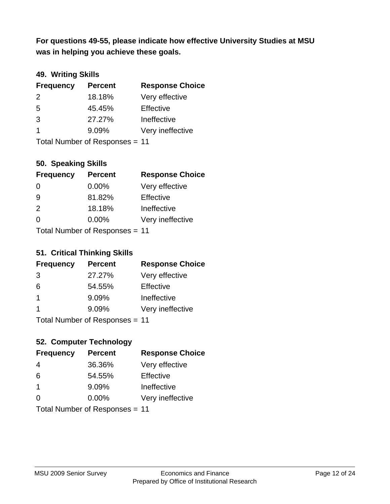**was in helping you achieve these goals. For questions 49-55, please indicate how effective University Studies at MSU** 

## **49. Writing Skills**

| <b>Frequency</b> | <b>Percent</b>                 | <b>Response Choice</b> |
|------------------|--------------------------------|------------------------|
| $\mathcal{P}$    | 18.18%                         | Very effective         |
| 5                | 45.45%                         | Effective              |
| 3                | 27.27%                         | Ineffective            |
| $\overline{1}$   | 9.09%                          | Very ineffective       |
|                  | Total Number of Responses = 11 |                        |

### **50. Speaking Skills**

| <b>Frequency</b>               | <b>Percent</b> | <b>Response Choice</b> |
|--------------------------------|----------------|------------------------|
| $\Omega$                       | $0.00\%$       | Very effective         |
| -9                             | 81.82%         | Effective              |
| 2                              | 18.18%         | Ineffective            |
| $\Omega$                       | $0.00\%$       | Very ineffective       |
| Total Number of Reconnege - 11 |                |                        |

Total Number of Responses = 11

#### **51. Critical Thinking Skills**

| <b>Frequency</b>          | <b>Percent</b> | <b>Response Choice</b> |
|---------------------------|----------------|------------------------|
| 3                         | 27.27%         | Very effective         |
| 6                         | 54.55%         | Effective              |
| $\overline{1}$            | 9.09%          | Ineffective            |
| -1                        | 9.09%          | Very ineffective       |
| Total Number of DoEROR 0. |                |                        |

Total Number of Responses = 11

## **52. Computer Technology**

| <b>Frequency</b>               | <b>Percent</b> | <b>Response Choice</b> |
|--------------------------------|----------------|------------------------|
| 4                              | 36.36%         | Very effective         |
| 6                              | 54.55%         | Effective              |
| $\overline{1}$                 | 9.09%          | Ineffective            |
| $\Omega$                       | 0.00%          | Very ineffective       |
| Total Number of Responses = 11 |                |                        |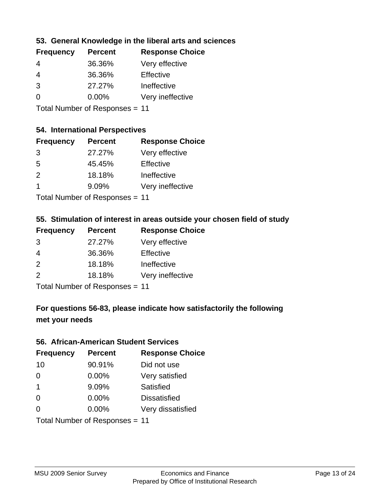### **53. General Knowledge in the liberal arts and sciences**

| <b>Frequency</b> | <b>Percent</b> | <b>Response Choice</b> |
|------------------|----------------|------------------------|
| 4                | 36.36%         | Very effective         |
| 4                | 36.36%         | Effective              |
| 3                | 27.27%         | Ineffective            |
| $\Omega$         | $0.00\%$       | Very ineffective       |
|                  |                |                        |

Total Number of Responses = 11

#### **54. International Perspectives**

| <b>Frequency</b> | <b>Percent</b> | <b>Response Choice</b> |
|------------------|----------------|------------------------|
| 3                | 27.27%         | Very effective         |
| -5               | 45.45%         | Effective              |
| $\mathcal{P}$    | 18.18%         | Ineffective            |
| $\overline{1}$   | 9.09%          | Very ineffective       |
|                  |                |                        |

Total Number of Responses = 11

#### **55. Stimulation of interest in areas outside your chosen field of study**

| <b>Frequency</b> | <b>Percent</b> | <b>Response Choice</b> |
|------------------|----------------|------------------------|
| 3                | 27.27%         | Very effective         |
| 4                | 36.36%         | Effective              |
| 2                | 18.18%         | Ineffective            |
| 2                | 18.18%         | Very ineffective       |
|                  |                |                        |

Total Number of Responses = 11

## **For questions 56-83, please indicate how satisfactorily the following met your needs**

#### **56. African-American Student Services**

| <b>Frequency</b> | <b>Percent</b>                 | <b>Response Choice</b> |
|------------------|--------------------------------|------------------------|
| 10               | 90.91%                         | Did not use            |
| $\Omega$         | 0.00%                          | Very satisfied         |
| -1               | 9.09%                          | Satisfied              |
| $\Omega$         | 0.00%                          | <b>Dissatisfied</b>    |
| $\Omega$         | 0.00%                          | Very dissatisfied      |
|                  | Total Number of Responses = 11 |                        |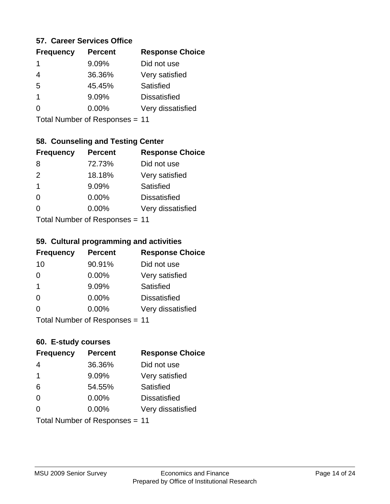#### **57. Career Services Office**

| <b>Frequency</b> | <b>Percent</b> | <b>Response Choice</b> |
|------------------|----------------|------------------------|
| 1                | 9.09%          | Did not use            |
|                  | 36.36%         | Very satisfied         |
| 5                | 45.45%         | <b>Satisfied</b>       |
| 1                | 9.09%          | <b>Dissatisfied</b>    |
|                  | $0.00\%$       | Very dissatisfied      |
|                  |                |                        |

Total Number of Responses = 11

### **58. Counseling and Testing Center**

| <b>Frequency</b>          | <b>Percent</b> | <b>Response Choice</b> |
|---------------------------|----------------|------------------------|
| 8                         | 72.73%         | Did not use            |
| 2                         | 18.18%         | Very satisfied         |
| 1                         | 9.09%          | <b>Satisfied</b>       |
| ∩                         | 0.00%          | <b>Dissatisfied</b>    |
| 0                         | 0.00%          | Very dissatisfied      |
| Total Number of DoEROR 0. |                |                        |

Total Number of Responses = 11

#### **59. Cultural programming and activities**

| <b>Frequency</b> | <b>Percent</b>            | <b>Response Choice</b> |
|------------------|---------------------------|------------------------|
| 10               | 90.91%                    | Did not use            |
| $\Omega$         | $0.00\%$                  | Very satisfied         |
| -1               | 9.09%                     | Satisfied              |
| $\Omega$         | 0.00%                     | <b>Dissatisfied</b>    |
| $\Omega$         | $0.00\%$                  | Very dissatisfied      |
|                  | Total Number of DoEROR 0. |                        |

Total Number of Responses = 11

## **60. E-study courses**

| <b>Frequency</b>               | <b>Percent</b> | <b>Response Choice</b> |
|--------------------------------|----------------|------------------------|
| 4                              | 36.36%         | Did not use            |
| $\mathbf 1$                    | 9.09%          | Very satisfied         |
| 6                              | 54.55%         | Satisfied              |
| $\Omega$                       | $0.00\%$       | <b>Dissatisfied</b>    |
| $\Omega$                       | $0.00\%$       | Very dissatisfied      |
| Total Number of Responses = 11 |                |                        |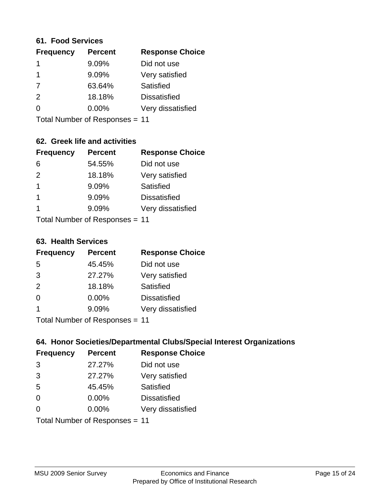#### **61. Food Services**

| <b>Frequency</b> | <b>Percent</b> | <b>Response Choice</b> |
|------------------|----------------|------------------------|
|                  | 9.09%          | Did not use            |
|                  | 9.09%          | Very satisfied         |
| 7                | 63.64%         | <b>Satisfied</b>       |
| 2                | 18.18%         | <b>Dissatisfied</b>    |
| ∩                | $0.00\%$       | Very dissatisfied      |
|                  |                |                        |

Total Number of Responses = 11

## **62. Greek life and activities**

| <b>Frequency</b>               | <b>Percent</b> | <b>Response Choice</b> |
|--------------------------------|----------------|------------------------|
| 6                              | 54.55%         | Did not use            |
| 2                              | 18.18%         | Very satisfied         |
| 1                              | 9.09%          | Satisfied              |
| 1                              | 9.09%          | <b>Dissatisfied</b>    |
| 1                              | 9.09%          | Very dissatisfied      |
| Total Number of Responses = 11 |                |                        |

**63. Health Services**

| <b>Frequency</b> | <b>Percent</b>             | <b>Response Choice</b> |
|------------------|----------------------------|------------------------|
| 5                | 45.45%                     | Did not use            |
| 3                | 27.27%                     | Very satisfied         |
| 2                | 18.18%                     | Satisfied              |
| $\Omega$         | 0.00%                      | <b>Dissatisfied</b>    |
|                  | 9.09%                      | Very dissatisfied      |
|                  | Total Number of Desperance |                        |

Total Number of Responses = 11

### **64. Honor Societies/Departmental Clubs/Special Interest Organizations**

| <b>Frequency</b>               | <b>Percent</b> | <b>Response Choice</b> |
|--------------------------------|----------------|------------------------|
| 3                              | 27.27%         | Did not use            |
| 3                              | 27.27%         | Very satisfied         |
| 5                              | 45.45%         | Satisfied              |
| $\Omega$                       | 0.00%          | <b>Dissatisfied</b>    |
| 0                              | 0.00%          | Very dissatisfied      |
| Total Number of Responses = 11 |                |                        |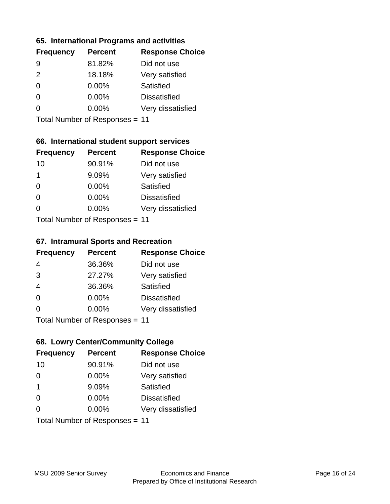#### **65. International Programs and activities**

| <b>Percent</b> | <b>Response Choice</b> |
|----------------|------------------------|
| 81.82%         | Did not use            |
| 18.18%         | Very satisfied         |
| $0.00\%$       | Satisfied              |
| 0.00%          | <b>Dissatisfied</b>    |
| $0.00\%$       | Very dissatisfied      |
|                |                        |

Total Number of Responses = 11

### **66. International student support services**

| <b>Frequency</b>          | <b>Percent</b> | <b>Response Choice</b> |
|---------------------------|----------------|------------------------|
| 10                        | 90.91%         | Did not use            |
| 1                         | 9.09%          | Very satisfied         |
| $\Omega$                  | $0.00\%$       | Satisfied              |
| $\Omega$                  | 0.00%          | <b>Dissatisfied</b>    |
| 0                         | 0.00%          | Very dissatisfied      |
| Total Number of DoEROR 0. |                |                        |

Total Number of Responses = 11

#### **67. Intramural Sports and Recreation**

| <b>Frequency</b> | <b>Percent</b>                  | <b>Response Choice</b> |
|------------------|---------------------------------|------------------------|
| 4                | 36.36%                          | Did not use            |
| 3                | 27.27%                          | Very satisfied         |
| $\overline{4}$   | 36.36%                          | Satisfied              |
| $\Omega$         | $0.00\%$                        | <b>Dissatisfied</b>    |
| $\Omega$         | $0.00\%$                        | Very dissatisfied      |
|                  | $Total Number of Doeponce = 11$ |                        |

Total Number of Responses = 11

## **68. Lowry Center/Community College**

| <b>Frequency</b>        | <b>Percent</b>                 | <b>Response Choice</b> |
|-------------------------|--------------------------------|------------------------|
| 10                      | 90.91%                         | Did not use            |
| $\Omega$                | 0.00%                          | Very satisfied         |
| $\overline{\mathbf{1}}$ | 9.09%                          | Satisfied              |
| $\Omega$                | $0.00\%$                       | <b>Dissatisfied</b>    |
| $\Omega$                | 0.00%                          | Very dissatisfied      |
|                         | Total Number of Responses = 11 |                        |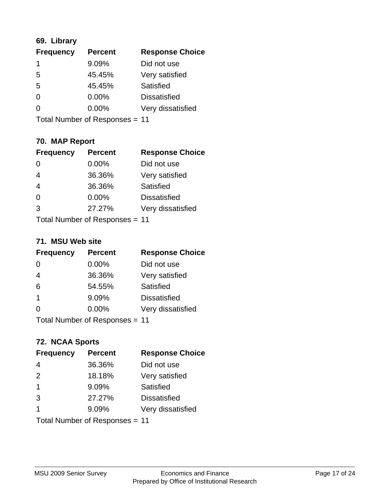## **69. Library**

| <b>Frequency</b> | <b>Percent</b> | <b>Response Choice</b> |
|------------------|----------------|------------------------|
| 1                | 9.09%          | Did not use            |
| 5                | 45.45%         | Very satisfied         |
| 5                | 45.45%         | Satisfied              |
| $\Omega$         | 0.00%          | <b>Dissatisfied</b>    |
| 0                | 0.00%          | Very dissatisfied      |
|                  |                |                        |

Total Number of Responses = 11

## **70. MAP Report**

| <b>Frequency</b>               | <b>Percent</b> | <b>Response Choice</b> |
|--------------------------------|----------------|------------------------|
|                                | 0.00%          | Did not use            |
| $\overline{4}$                 | 36.36%         | Very satisfied         |
| $\overline{4}$                 | 36.36%         | <b>Satisfied</b>       |
| $\Omega$                       | 0.00%          | <b>Dissatisfied</b>    |
| 3                              | 27.27%         | Very dissatisfied      |
| Total Number of Responses = 11 |                |                        |

#### **71. MSU Web site**

| <b>Frequency</b> | <b>Percent</b>                 | <b>Response Choice</b> |
|------------------|--------------------------------|------------------------|
| $\Omega$         | $0.00\%$                       | Did not use            |
| $\overline{4}$   | 36.36%                         | Very satisfied         |
| 6                | 54.55%                         | Satisfied              |
| -1               | 9.09%                          | <b>Dissatisfied</b>    |
| ∩                | 0.00%                          | Very dissatisfied      |
|                  | Total Number of Responses = 11 |                        |

## **72. NCAA Sports**

| <b>Frequency</b>               | <b>Percent</b> | <b>Response Choice</b> |
|--------------------------------|----------------|------------------------|
| 4                              | 36.36%         | Did not use            |
| 2                              | 18.18%         | Very satisfied         |
| $\mathbf 1$                    | 9.09%          | Satisfied              |
| 3                              | 27.27%         | <b>Dissatisfied</b>    |
| 1                              | 9.09%          | Very dissatisfied      |
| Total Number of Responses = 11 |                |                        |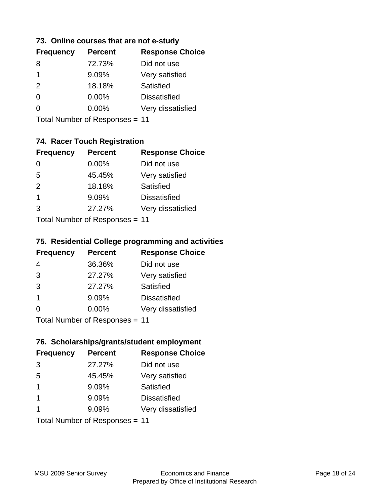#### **73. Online courses that are not e-study**

| <b>Frequency</b> | <b>Percent</b> | <b>Response Choice</b> |
|------------------|----------------|------------------------|
| 8                | 72.73%         | Did not use            |
| 1                | 9.09%          | Very satisfied         |
| $\mathcal{P}$    | 18.18%         | Satisfied              |
| 0                | $0.00\%$       | <b>Dissatisfied</b>    |
|                  | $0.00\%$       | Very dissatisfied      |
|                  |                |                        |

Total Number of Responses = 11

## **74. Racer Touch Registration**

| <b>Frequency</b>          | <b>Percent</b> | <b>Response Choice</b> |
|---------------------------|----------------|------------------------|
| 0                         | $0.00\%$       | Did not use            |
| 5                         | 45.45%         | Very satisfied         |
| 2                         | 18.18%         | <b>Satisfied</b>       |
| 1                         | 9.09%          | <b>Dissatisfied</b>    |
| 3                         | 27.27%         | Very dissatisfied      |
| Total Number of Doopenoon |                |                        |

Total Number of Responses = 11

### **75. Residential College programming and activities**

| <b>Frequency</b>             | <b>Percent</b> | <b>Response Choice</b> |
|------------------------------|----------------|------------------------|
| 4                            | 36.36%         | Did not use            |
| 3                            | 27.27%         | Very satisfied         |
| 3                            | 27.27%         | Satisfied              |
| -1                           | 9.09%          | <b>Dissatisfied</b>    |
| $\Omega$                     | 0.00%          | Very dissatisfied      |
| Total Number of Deepensee 44 |                |                        |

Total Number of Responses = 11

### **76. Scholarships/grants/student employment**

| <b>Frequency</b> | <b>Percent</b>                 | <b>Response Choice</b> |
|------------------|--------------------------------|------------------------|
| 3                | 27.27%                         | Did not use            |
| 5                | 45.45%                         | Very satisfied         |
| 1                | 9.09%                          | Satisfied              |
| -1               | 9.09%                          | <b>Dissatisfied</b>    |
|                  | 9.09%                          | Very dissatisfied      |
|                  | Total Number of Responses = 11 |                        |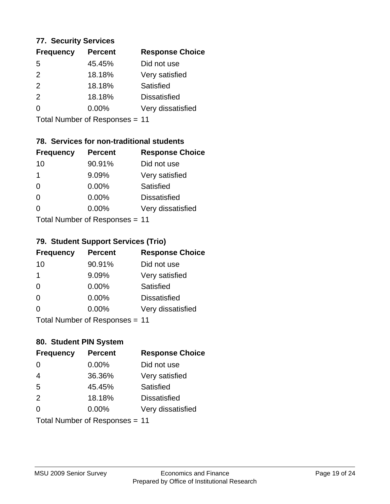#### **77. Security Services**

| <b>Frequency</b> | <b>Percent</b> | <b>Response Choice</b> |
|------------------|----------------|------------------------|
| 5                | 45.45%         | Did not use            |
| $\mathcal{P}$    | 18.18%         | Very satisfied         |
| $\mathcal{P}$    | 18.18%         | Satisfied              |
| $\mathcal{P}$    | 18.18%         | <b>Dissatisfied</b>    |
| ∩                | $0.00\%$       | Very dissatisfied      |
|                  |                |                        |

Total Number of Responses = 11

## **78. Services for non-traditional students**

| <b>Frequency</b>                 | <b>Percent</b> | <b>Response Choice</b> |
|----------------------------------|----------------|------------------------|
| 10                               | 90.91%         | Did not use            |
| 1                                | 9.09%          | Very satisfied         |
| $\Omega$                         | $0.00\%$       | Satisfied              |
| $\Omega$                         | 0.00%          | <b>Dissatisfied</b>    |
| O                                | 0.00%          | Very dissatisfied      |
| $Total Number of Doeponeoc = 11$ |                |                        |

Total Number of Responses = 11

### **79. Student Support Services (Trio)**

| <b>Frequency</b>          | <b>Percent</b> | <b>Response Choice</b> |
|---------------------------|----------------|------------------------|
| 10                        | 90.91%         | Did not use            |
| 1                         | 9.09%          | Very satisfied         |
| $\Omega$                  | 0.00%          | Satisfied              |
| $\Omega$                  | $0.00\%$       | <b>Dissatisfied</b>    |
| 0                         | 0.00%          | Very dissatisfied      |
| Total Number of Desponses |                |                        |

Total Number of Responses = 11

## **80. Student PIN System**

| <b>Frequency</b>               | <b>Percent</b> | <b>Response Choice</b> |
|--------------------------------|----------------|------------------------|
| 0                              | 0.00%          | Did not use            |
| $\overline{4}$                 | 36.36%         | Very satisfied         |
| 5                              | 45.45%         | Satisfied              |
| 2                              | 18.18%         | <b>Dissatisfied</b>    |
| 0                              | $0.00\%$       | Very dissatisfied      |
| Total Number of Responses = 11 |                |                        |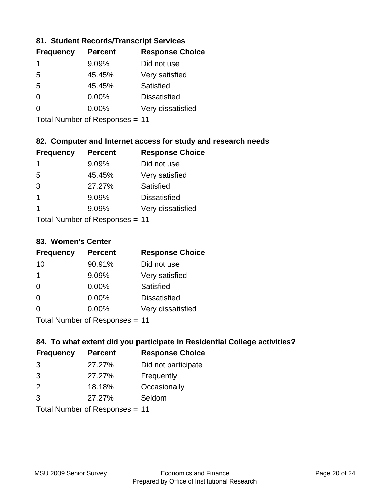### **81. Student Records/Transcript Services**

| <b>Percent</b> | <b>Response Choice</b> |
|----------------|------------------------|
| 9.09%          | Did not use            |
| 45.45%         | Very satisfied         |
| 45.45%         | Satisfied              |
| 0.00%          | <b>Dissatisfied</b>    |
| $0.00\%$       | Very dissatisfied      |
|                |                        |

Total Number of Responses = 11

### **82. Computer and Internet access for study and research needs**

| <b>Frequency</b> | <b>Percent</b>            | <b>Response Choice</b> |
|------------------|---------------------------|------------------------|
| 1                | 9.09%                     | Did not use            |
| 5                | 45.45%                    | Very satisfied         |
| 3                | 27.27%                    | Satisfied              |
| 1                | 9.09%                     | <b>Dissatisfied</b>    |
| 1                | 9.09%                     | Very dissatisfied      |
|                  | Total Number of Deepersee |                        |

Total Number of Responses = 11

#### **83. Women's Center**

| <b>Frequency</b>           | <b>Percent</b> | <b>Response Choice</b> |
|----------------------------|----------------|------------------------|
| 10                         | 90.91%         | Did not use            |
| $\mathbf 1$                | 9.09%          | Very satisfied         |
| $\Omega$                   | $0.00\%$       | <b>Satisfied</b>       |
| $\Omega$                   | 0.00%          | <b>Dissatisfied</b>    |
| $\Omega$                   | $0.00\%$       | Very dissatisfied      |
| Tatal Number of Desperance |                |                        |

Total Number of Responses = 11

### **84. To what extent did you participate in Residential College activities?**

| <b>Frequency</b> | <b>Percent</b> | <b>Response Choice</b> |
|------------------|----------------|------------------------|
| 3                | 27.27%         | Did not participate    |
| 3                | 27.27%         | Frequently             |
| 2                | 18.18%         | Occasionally           |
| $\mathcal{B}$    | 27.27%         | Seldom                 |
|                  |                |                        |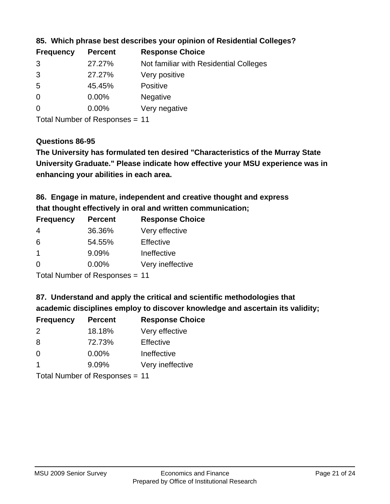| <b>Frequency</b> | <b>Percent</b> | <b>Response Choice</b>                 |
|------------------|----------------|----------------------------------------|
| 3                | 27.27%         | Not familiar with Residential Colleges |
| 3                | 27.27%         | Very positive                          |
| -5               | 45.45%         | <b>Positive</b>                        |
| $\overline{0}$   | 0.00%          | <b>Negative</b>                        |
| 0                | $0.00\%$       | Very negative                          |

**85. Which phrase best describes your opinion of Residential Colleges?**

Total Number of Responses = 11

#### **Questions 86-95**

**University Graduate." Please indicate how effective your MSU experience was in The University has formulated ten desired "Characteristics of the Murray State enhancing your abilities in each area.**

**86. Engage in mature, independent and creative thought and express that thought effectively in oral and written communication;**

| <b>Percent</b> | <b>Response Choice</b> |
|----------------|------------------------|
| 36.36%         | Very effective         |
| 54.55%         | Effective              |
| 9.09%          | Ineffective            |
| $0.00\%$       | Very ineffective       |
|                |                        |

Total Number of Responses = 11

**87. Understand and apply the critical and scientific methodologies that** 

**academic disciplines employ to discover knowledge and ascertain its validity;**

| <b>Frequency</b> | <b>Percent</b> | <b>Response Choice</b> |
|------------------|----------------|------------------------|
| $\mathcal{P}$    | 18.18%         | Very effective         |
| 8                | 72.73%         | Effective              |
| $\Omega$         | 0.00%          | Ineffective            |
|                  | 9.09%          | Very ineffective       |
|                  |                |                        |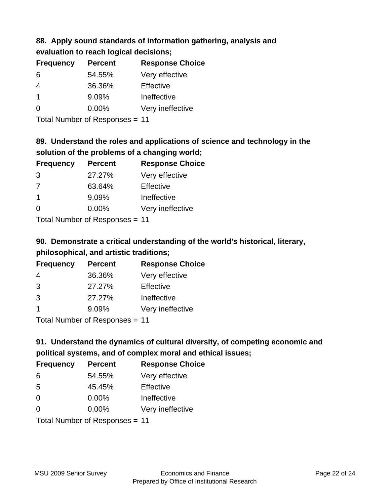## **88. Apply sound standards of information gathering, analysis and evaluation to reach logical decisions;**

| <b>Percent</b> | <b>Response Choice</b> |
|----------------|------------------------|
| 54.55%         | Very effective         |
| 36.36%         | Effective              |
| 9.09%          | Ineffective            |
| $0.00\%$       | Very ineffective       |
|                |                        |

Total Number of Responses = 11

## **89. Understand the roles and applications of science and technology in the solution of the problems of a changing world;**

| <b>Frequency</b>                         | <b>Percent</b> | <b>Response Choice</b> |
|------------------------------------------|----------------|------------------------|
| 3                                        | 27.27%         | Very effective         |
| 7                                        | 63.64%         | Effective              |
| $\mathbf 1$                              | 9.09%          | Ineffective            |
| $\Omega$                                 | 0.00%          | Very ineffective       |
| $T$ at all Message and $D$ are a serious |                |                        |

Total Number of Responses = 11

## **90. Demonstrate a critical understanding of the world's historical, literary, philosophical, and artistic traditions;**

| <b>Frequency</b> | <b>Percent</b> | <b>Response Choice</b> |
|------------------|----------------|------------------------|
| 4                | 36.36%         | Very effective         |
| 3                | 27.27%         | Effective              |
| 3                | 27.27%         | Ineffective            |
|                  | 9.09%          | Very ineffective       |
|                  |                |                        |

Total Number of Responses = 11

## **91. Understand the dynamics of cultural diversity, of competing economic and political systems, and of complex moral and ethical issues;**

| <b>Frequency</b>               | <b>Percent</b> | <b>Response Choice</b> |
|--------------------------------|----------------|------------------------|
| 6                              | 54.55%         | Very effective         |
| 5                              | 45.45%         | Effective              |
| $\Omega$                       | $0.00\%$       | Ineffective            |
| $\Omega$                       | 0.00%          | Very ineffective       |
| Total Number of Responses = 11 |                |                        |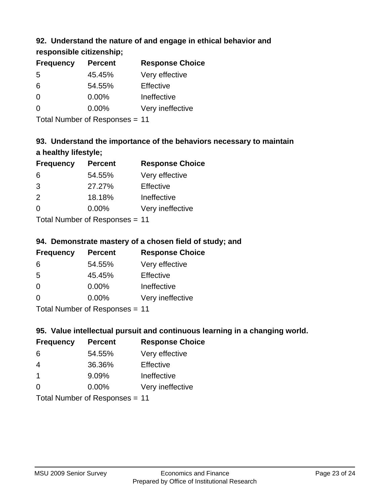## **92. Understand the nature of and engage in ethical behavior and**

**responsible citizenship;**

| <b>Frequency</b> | <b>Percent</b> | <b>Response Choice</b> |
|------------------|----------------|------------------------|
| .5               | 45.45%         | Very effective         |
| 6                | 54.55%         | Effective              |
| $\Omega$         | $0.00\%$       | Ineffective            |
| $\Omega$         | $0.00\%$       | Very ineffective       |

Total Number of Responses = 11

## **93. Understand the importance of the behaviors necessary to maintain a healthy lifestyle;**

| <b>Frequency</b> | <b>Percent</b>            | <b>Response Choice</b> |
|------------------|---------------------------|------------------------|
| 6                | 54.55%                    | Very effective         |
| 3                | 27.27%                    | Effective              |
| 2                | 18.18%                    | Ineffective            |
| $\Omega$         | 0.00%                     | Very ineffective       |
|                  | Total Number of Deepersee |                        |

Total Number of Responses = 11

## **94. Demonstrate mastery of a chosen field of study; and**

| <b>Frequency</b> | <b>Percent</b> | <b>Response Choice</b> |
|------------------|----------------|------------------------|
| 6                | 54.55%         | Very effective         |
| 5                | 45.45%         | Effective              |
| $\Omega$         | 0.00%          | Ineffective            |
| $\Omega$         | 0.00%          | Very ineffective       |
|                  |                |                        |

Total Number of Responses = 11

## **95. Value intellectual pursuit and continuous learning in a changing world.**

| <b>Frequency</b>           | <b>Percent</b> | <b>Response Choice</b> |
|----------------------------|----------------|------------------------|
| 6                          | 54.55%         | Very effective         |
| 4                          | 36.36%         | Effective              |
| $\mathbf 1$                | 9.09%          | Ineffective            |
| $\Omega$                   | 0.00%          | Very ineffective       |
| Tatal Number of Desperance |                |                        |